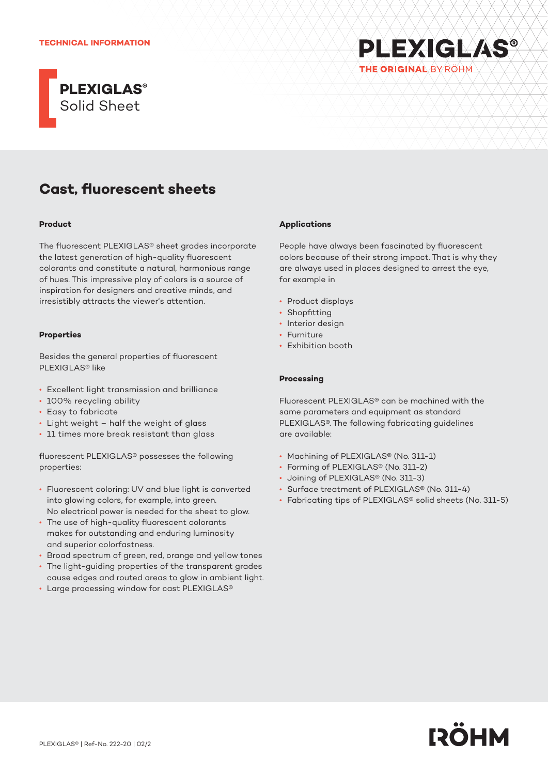

# **Cast, fluorescent sheets**

#### **Product**

The fluorescent PLEXIGLAS® sheet grades incorporate the latest generation of high-quality fluorescent colorants and constitute a natural, harmonious range of hues. This impressive play of colors is a source of inspiration for designers and creative minds, and irresistibly attracts the viewer's attention.

#### **Properties**

Besides the general properties of fluorescent PLEXIGLAS® like

- Excellent light transmission and brilliance
- 100% recycling ability
- Easy to fabricate
- Light weight half the weight of glass
- 11 times more break resistant than glass

fluorescent PLEXIGLAS® possesses the following properties:

- Fluorescent coloring: UV and blue light is converted into glowing colors, for example, into green. No electrical power is needed for the sheet to glow.
- The use of high-quality fluorescent colorants makes for outstanding and enduring luminosity and superior colorfastness.
- Broad spectrum of green, red, orange and yellow tones
- The light-guiding properties of the transparent grades cause edges and routed areas to glow in ambient light.
- Large processing window for cast PLEXIGLAS®

#### **Applications**

People have always been fascinated by fluorescent colors because of their strong impact. That is why they are always used in places designed to arrest the eye, for example in

**PLEXIGLAS®** 

THE ORIGINAL BY ROHM

- Product displays
- Shopfitting
- Interior design
- Furniture
- Exhibition booth

#### **Processing**

Fluorescent PLEXIGLAS® can be machined with the same parameters and equipment as standard PLEXIGLAS®. The following fabricating guidelines are available:

- Machining of PLEXIGLAS® (No. 311-1)
- Forming of PLEXIGLAS® (No. 311-2)
- Joining of PLEXIGLAS® (No. 311-3)
- Surface treatment of PLEXIGLAS® (No. 311-4)
- Fabricating tips of PLEXIGLAS® solid sheets (No. 311-5)